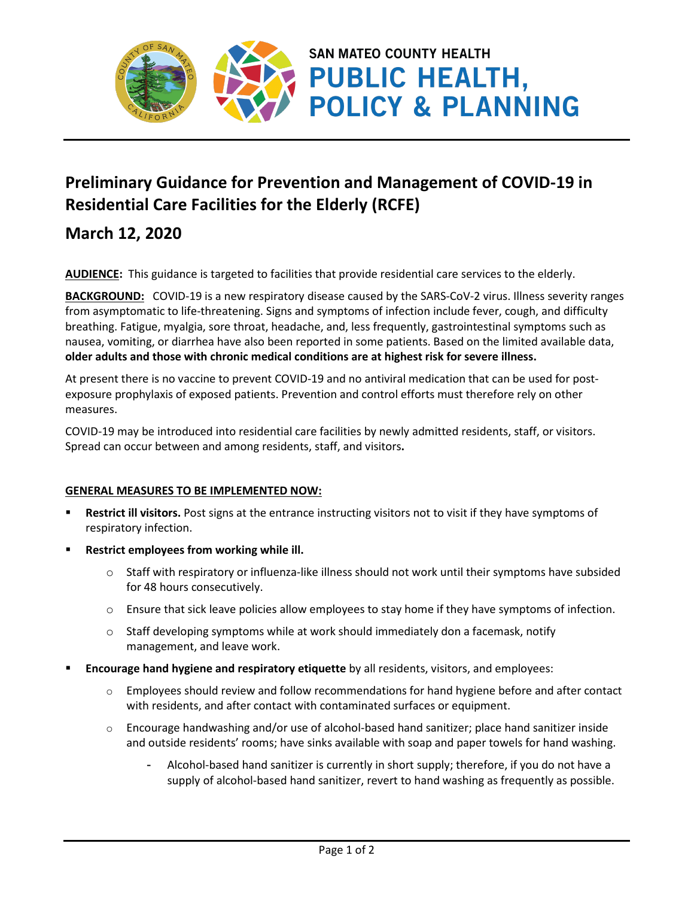

# **Preliminary Guidance for Prevention and Management of COVID-19 in Residential Care Facilities for the Elderly (RCFE)**

# **March 12, 2020**

**AUDIENCE:** This guidance is targeted to facilities that provide residential care services to the elderly.

**BACKGROUND:** COVID-19 is a new respiratory disease caused by the SARS-CoV-2 virus. Illness severity ranges from asymptomatic to life-threatening. Signs and symptoms of infection include fever, cough, and difficulty breathing. Fatigue, myalgia, sore throat, headache, and, less frequently, gastrointestinal symptoms such as nausea, vomiting, or diarrhea have also been reported in some patients. Based on the limited available data, **older adults and those with chronic medical conditions are at highest risk for severe illness.**

At present there is no vaccine to prevent COVID-19 and no antiviral medication that can be used for postexposure prophylaxis of exposed patients. Prevention and control efforts must therefore rely on other measures.

COVID-19 may be introduced into residential care facilities by newly admitted residents, staff, or visitors. Spread can occur between and among residents, staff, and visitors**.** 

## **GENERAL MEASURES TO BE IMPLEMENTED NOW:**

- **Restrict ill visitors.** Post signs at the entrance instructing visitors not to visit if they have symptoms of respiratory infection.
- **Restrict employees from working while ill.** 
	- $\circ$  Staff with respiratory or influenza-like illness should not work until their symptoms have subsided for 48 hours consecutively.
	- $\circ$  Ensure that sick leave policies allow employees to stay home if they have symptoms of infection.
	- $\circ$  Staff developing symptoms while at work should immediately don a facemask, notify management, and leave work.
- **Encourage hand hygiene and respiratory etiquette** by all residents, visitors, and employees:
	- $\circ$  Employees should review and follow recommendations for hand hygiene before and after contact with residents, and after contact with contaminated surfaces or equipment.
	- $\circ$  Encourage handwashing and/or use of alcohol-based hand sanitizer; place hand sanitizer inside and outside residents' rooms; have sinks available with soap and paper towels for hand washing.
		- Alcohol-based hand sanitizer is currently in short supply; therefore, if you do not have a supply of alcohol-based hand sanitizer, revert to hand washing as frequently as possible.